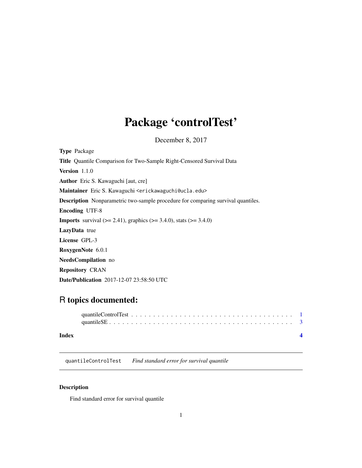## <span id="page-0-0"></span>Package 'controlTest'

December 8, 2017

Type Package Title Quantile Comparison for Two-Sample Right-Censored Survival Data Version 1.1.0 Author Eric S. Kawaguchi [aut, cre] Maintainer Eric S. Kawaguchi <erickawaguchi@ucla.edu> Description Nonparametric two-sample procedure for comparing survival quantiles. Encoding UTF-8 **Imports** survival  $(>= 2.41)$ , graphics  $(>= 3.4.0)$ , stats  $(>= 3.4.0)$ LazyData true License GPL-3 RoxygenNote 6.0.1 NeedsCompilation no Repository CRAN Date/Publication 2017-12-07 23:58:50 UTC

### R topics documented:

quantileControlTest *Find standard error for survival quantile*

#### Description

Find standard error for survival quantile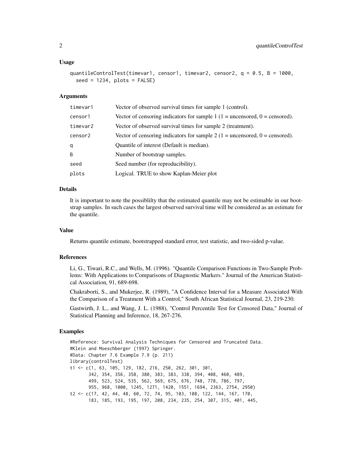#### Usage

```
quantileControlTest(timevar1, censor1, timevar2, censor2, q = 0.5, B = 1000,
  seed = 1234, plots = FALSE)
```
#### Arguments

| timevar1 | Vector of observed survival times for sample 1 (control).                     |
|----------|-------------------------------------------------------------------------------|
| censor1  | Vector of censoring indicators for sample 1 (1 = uncensored, $0 =$ censored). |
| timevar2 | Vector of observed survival times for sample 2 (treatment).                   |
| censor2  | Vector of censoring indicators for sample 2 (1 = uncensored, 0 = censored).   |
| q        | Quantile of interest (Default is median).                                     |
| B        | Number of bootstrap samples.                                                  |
| seed     | Seed number (for reproducibility).                                            |
| plots    | Logical. TRUE to show Kaplan-Meier plot                                       |

#### Details

It is important to note the possiblilty that the estimated quantile may not be estimable in our bootstrap samples. In such cases the largest observed survival time will be considered as an estimate for the quantile.

#### Value

Returns quantile estimate, bootstrapped standard error, test statistic, and two-sided p-value.

#### References

Li, G., Tiwari, R.C., and Wells, M. (1996). "Quantile Comparison Functions in Two-Sample Problems: With Applications to Comparisons of Diagnostic Markers." Journal of the American Statistical Association, 91, 689-698.

Chakraborti, S., and Mukerjee, R. (1989), "A Confidence Interval for a Measure Associated With the Comparison of a Treatment With a Control," South African Statistical Journal, 23, 219-230.

Gastwirth, J. L., and Wang, J. L. (1988), "Control Percentile Test for Censored Data," Journal of Statistical Planning and Inference, 18, 267-276.

#### Examples

```
#Reference: Survival Analysis Techniques for Censored and Truncated Data.
#Klein and Moeschberger (1997) Springer.
#Data: Chapter 7.6 Example 7.9 (p. 211)
library(controlTest)
t1 <- c(1, 63, 105, 129, 182, 216, 250, 262, 301, 301,
       342, 354, 356, 358, 380, 383, 383, 338, 394, 408, 460, 489,
       499, 523, 524, 535, 562, 569, 675, 676, 748, 778, 786, 797,
       955, 968, 1000, 1245, 1271, 1420, 1551, 1694, 2363, 2754, 2950)
t2 <- c(17, 42, 44, 48, 60, 72, 74, 95, 103, 108, 122, 144, 167, 170,
       183, 185, 193, 195, 197, 208, 234, 235, 254, 307, 315, 401, 445,
```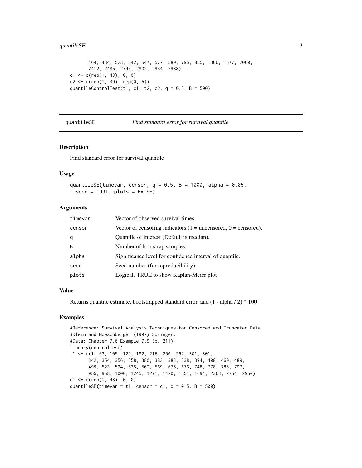#### <span id="page-2-0"></span> $quantileSE$  3

```
464, 484, 528, 542, 547, 577, 580, 795, 855, 1366, 1577, 2060,
       2412, 2486, 2796, 2802, 2934, 2988)
c1 \leq c(rep(1, 43), 0, 0)
c2 \leq c(\text{rep}(1, 39), \text{rep}(0, 6))quantileControlTest(t1, c1, t2, c2, q = 0.5, B = 500)
```
quantileSE *Find standard error for survival quantile*

#### Description

Find standard error for survival quantile

#### Usage

```
quantileSE(timevar, censor, q = 0.5, B = 1000, alpha = 0.05,
  seed = 1991, plots = FALSE)
```
#### Arguments

| timevar | Vector of observed survival times.                                 |
|---------|--------------------------------------------------------------------|
| censor  | Vector of censoring indicators $(1 =$ uncensored, $0 =$ censored). |
| q       | Quantile of interest (Default is median).                          |
| B       | Number of bootstrap samples.                                       |
| alpha   | Significance level for confidence interval of quantile.            |
| seed    | Seed number (for reproducibility).                                 |
| plots   | Logical. TRUE to show Kaplan-Meier plot                            |

#### Value

Returns quantile estimate, bootstrapped standard error, and (1 - alpha / 2) \* 100

#### Examples

```
#Reference: Survival Analysis Techniques for Censored and Truncated Data.
#Klein and Moeschberger (1997) Springer.
#Data: Chapter 7.6 Example 7.9 (p. 211)
library(controlTest)
t1 <- c(1, 63, 105, 129, 182, 216, 250, 262, 301, 301,
       342, 354, 356, 358, 380, 383, 383, 338, 394, 408, 460, 489,
       499, 523, 524, 535, 562, 569, 675, 676, 748, 778, 786, 797,
       955, 968, 1000, 1245, 1271, 1420, 1551, 1694, 2363, 2754, 2950)
c1 \leq c(rep(1, 43), 0, 0)
quantileSE(timevar = t1, censor = c1, q = 0.5, B = 500)
```